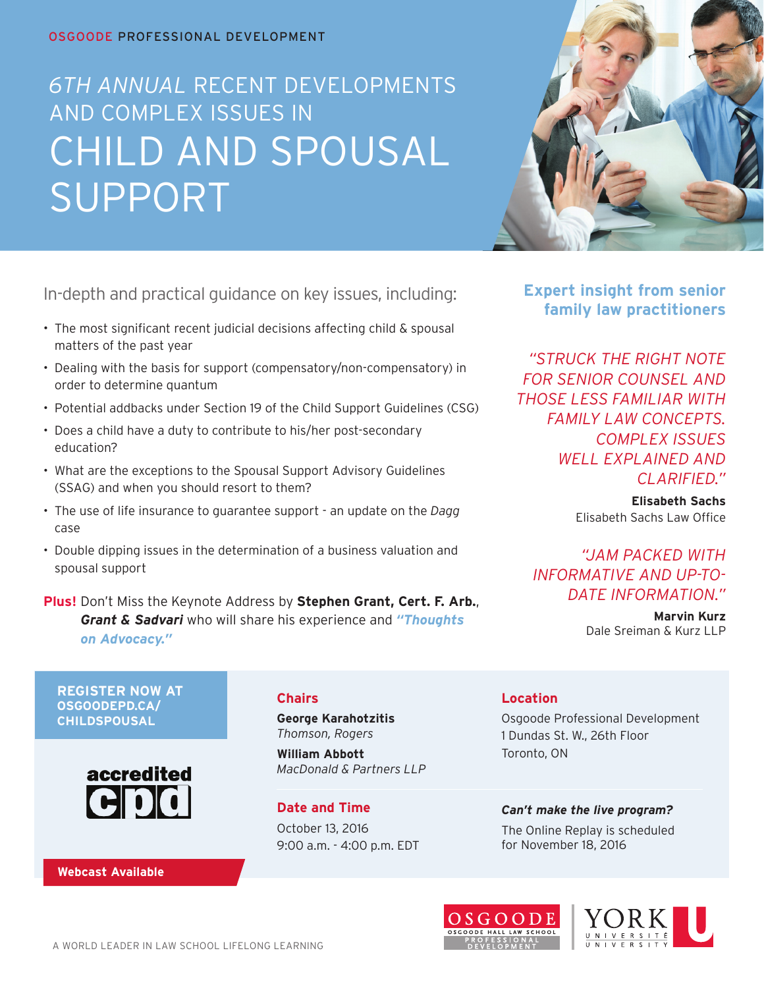#### OSGOODE Professional Development

# CHILD AND SPOUSAL Support *6th Annual* Recent Developments and Complex Issues In



In-depth and practical guidance on key issues, including:

- The most significant recent judicial decisions affecting child & spousal matters of the past year
- Dealing with the basis for support (compensatory/non-compensatory) in order to determine quantum
- Potential addbacks under Section 19 of the Child Support Guidelines (CSG)
- Does a child have a duty to contribute to his/her post-secondary education?
- What are the exceptions to the Spousal Support Advisory Guidelines (SSAG) and when you should resort to them?
- The use of life insurance to guarantee support an update on the *Dagg* case
- Double dipping issues in the determination of a business valuation and spousal support

**Plus!** Don't Miss the Keynote Address by **Stephen Grant, Cert. F. Arb.**, *Grant & Sadvari* who will share his experience and *"Thoughts on Advocacy."*

**Expert insight from senior family law practitioners**

*"Struck the right note for senior counsel and those less familiar with family law concepts. Complex issues well explained and clarified."* 

> **Elisabeth Sachs** Elisabeth Sachs Law Office

*"Jam packed with informative and up-todate information."* 

> **Marvin Kurz** Dale Sreiman & Kurz LLP

**Register now at osgoodepd.ca/ childspousal**



**Webcast Available**

### **Chairs**

**George Karahotzitis** *Thomson, Rogers*

**William Abbott** *MacDonald & Partners LLP*

**Date and Time** October 13, 2016 9:00 a.m. - 4:00 p.m. EDT

### **Location**

Osgoode Professional Development 1 Dundas St. W., 26th Floor Toronto, ON

*Can't make the live program?* The Online Replay is scheduled for November 18, 2016



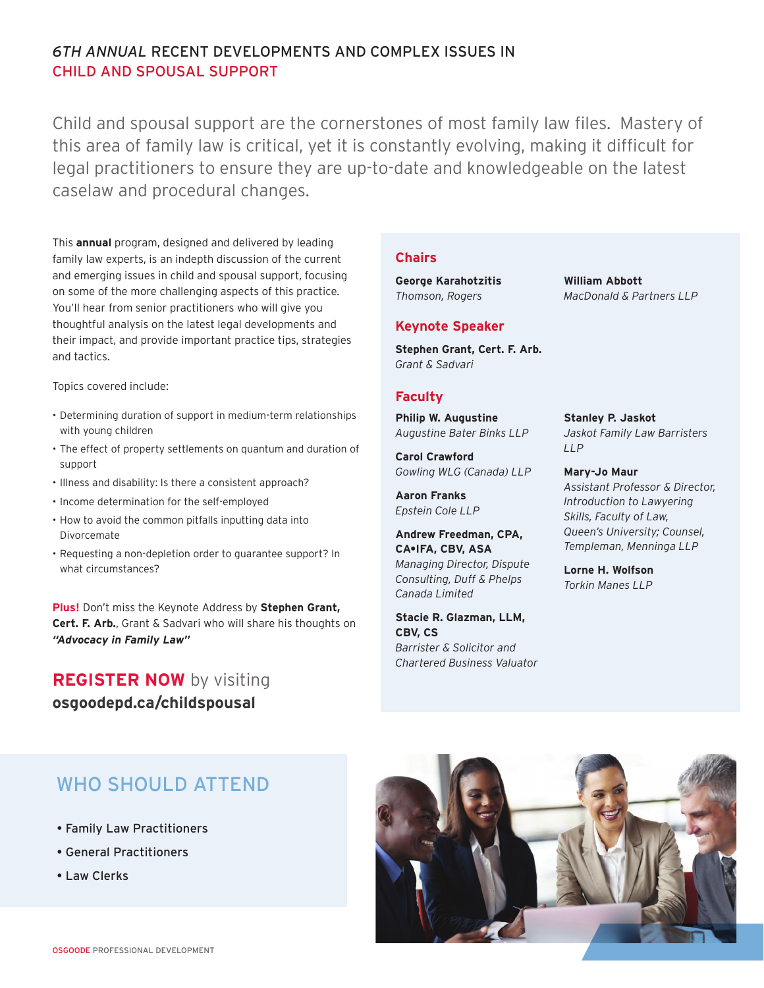# *6th Annual* Recent Developments and Complex Issues In Child and Spousal Support

Child and spousal support are the cornerstones of most family law files. Mastery of this area of family law is critical, yet it is constantly evolving, making it difficult for legal practitioners to ensure they are up-to-date and knowledgeable on the latest caselaw and procedural changes.

This **annual** program, designed and delivered by leading family law experts, is an indepth discussion of the current and emerging issues in child and spousal support, focusing on some of the more challenging aspects of this practice. You'll hear from senior practitioners who will give you thoughtful analysis on the latest legal developments and their impact, and provide important practice tips, strategies and tactics.

Topics covered include:

- Determining duration of support in medium-term relationships with young children
- The effect of property settlements on quantum and duration of support
- Illness and disability: Is there a consistent approach?
- Income determination for the self-employed
- How to avoid the common pitfalls inputting data into Divorcemate
- Requesting a non-depletion order to guarantee support? In what circumstances?

**Plus!** Don't miss the Keynote Address by **Stephen Grant, Cert. F. Arb.**, Grant & Sadvari who will share his thoughts on *"Advocacy in Family Law"*

# **REGISTER NOW** by visiting **osgoodepd.ca/childspousal**

### **Chairs**

**George Karahotzitis** *Thomson, Rogers*

#### **Keynote Speaker**

**Stephen Grant, Cert. F. Arb.** *Grant & Sadvari*

#### **Faculty**

**Philip W. Augustine**  *Augustine Bater Binks LLP*

**Carol Crawford**  *Gowling WLG (Canada) LLP*

**Aaron Franks**  *Epstein Cole LLP*

**Andrew Freedman, CPA, CA•IFA, CBV, ASA**  *Managing Director, Dispute Consulting, Duff & Phelps Canada Limited*

**Stacie R. Glazman, LLM, CBV, CS**  *Barrister & Solicitor and Chartered Business Valuator*

**William Abbott** *MacDonald & Partners LLP*

**Stanley P. Jaskot**  *Jaskot Family Law Barristers LLP*

**Mary-Jo Maur**  *Assistant Professor & Director, Introduction to Lawyering Skills, Faculty of Law, Queen's University; Counsel, Templeman, Menninga LLP*

**Lorne H. Wolfson** *Torkin Manes LLP*

# WHO SHOULD ATTEND

- Family Law Practitioners
- General Practitioners
- Law Clerks

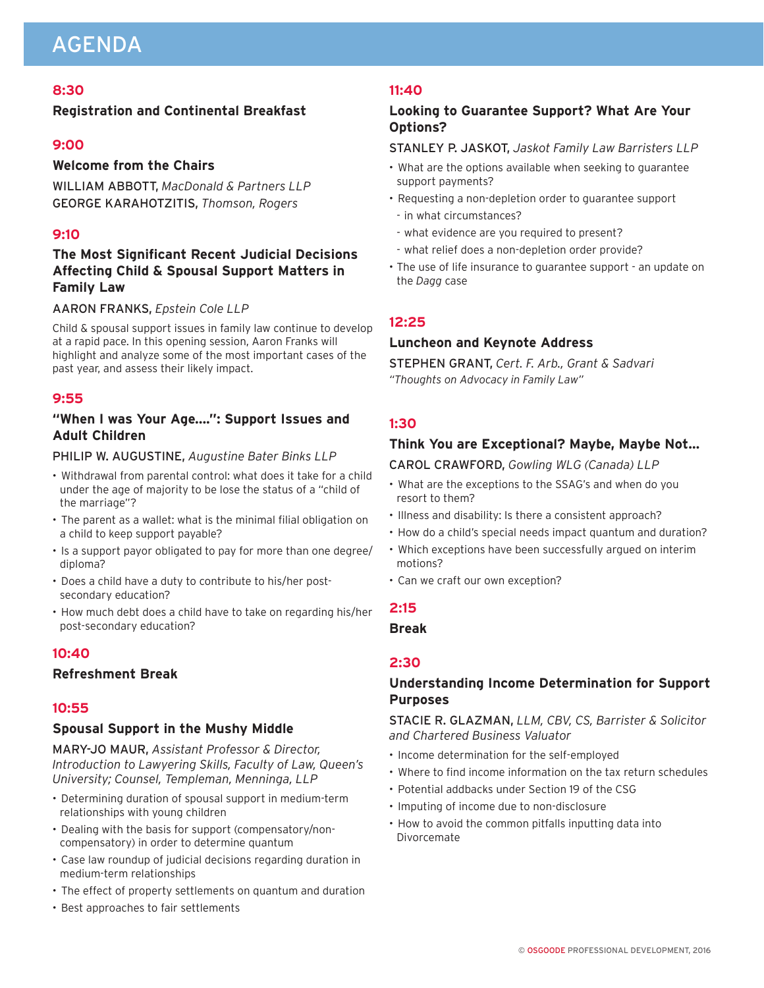# AGENDA

### **8:30**

#### **Registration and Continental Breakfast**

#### **9:00**

#### **Welcome from the Chairs**

William Abbott, *MacDonald & Partners LLP* George Karahotzitis, *Thomson, Rogers*

#### **9:10**

## **The Most Significant Recent Judicial Decisions Affecting Child & Spousal Support Matters in Family Law**

#### Aaron Franks, *Epstein Cole LLP*

Child & spousal support issues in family law continue to develop at a rapid pace. In this opening session, Aaron Franks will highlight and analyze some of the most important cases of the past year, and assess their likely impact.

#### **9:55**

### **"When I was Your Age....": Support Issues and Adult Children**

#### Philip W. Augustine, *Augustine Bater Binks LLP*

- Withdrawal from parental control: what does it take for a child under the age of majority to be lose the status of a "child of the marriage"?
- The parent as a wallet: what is the minimal filial obligation on a child to keep support payable?
- Is a support payor obligated to pay for more than one degree/ diploma?
- Does a child have a duty to contribute to his/her postsecondary education?
- How much debt does a child have to take on regarding his/her post-secondary education?

#### **10:40**

#### **Refreshment Break**

#### **10:55**

#### **Spousal Support in the Mushy Middle**

Mary-Jo Maur, *Assistant Professor & Director, Introduction to Lawyering Skills, Faculty of Law, Queen's University; Counsel, Templeman, Menninga, LLP*

- Determining duration of spousal support in medium-term relationships with young children
- Dealing with the basis for support (compensatory/noncompensatory) in order to determine quantum
- Case law roundup of judicial decisions regarding duration in medium-term relationships
- The effect of property settlements on quantum and duration
- Best approaches to fair settlements

#### **11:40**

### **Looking to Guarantee Support? What Are Your Options?**

#### Stanley P. Jaskot, *Jaskot Family Law Barristers LLP*

- What are the options available when seeking to guarantee support payments?
- Requesting a non-depletion order to guarantee support
- in what circumstances?
- what evidence are you required to present?
- what relief does a non-depletion order provide?
- The use of life insurance to guarantee support an update on the *Dagg* case

### **12:25**

#### **Luncheon and Keynote Address**

Stephen Grant, *Cert. F. Arb., Grant & Sadvari "Thoughts on Advocacy in Family Law"*

#### **1:30**

#### **Think You are Exceptional? Maybe, Maybe Not…**

#### Carol Crawford, *Gowling WLG (Canada) LLP*

- What are the exceptions to the SSAG's and when do you resort to them?
- Illness and disability: Is there a consistent approach?
- How do a child's special needs impact quantum and duration?
- Which exceptions have been successfully argued on interim motions?
- Can we craft our own exception?

#### **2:15**

#### **Break**

#### **2:30**

### **Understanding Income Determination for Support Purposes**

Stacie R. Glazman, *LLM, CBV, CS, Barrister & Solicitor and Chartered Business Valuator*

- Income determination for the self-employed
- Where to find income information on the tax return schedules
- Potential addbacks under Section 19 of the CSG
- Imputing of income due to non-disclosure
- How to avoid the common pitfalls inputting data into Divorcemate